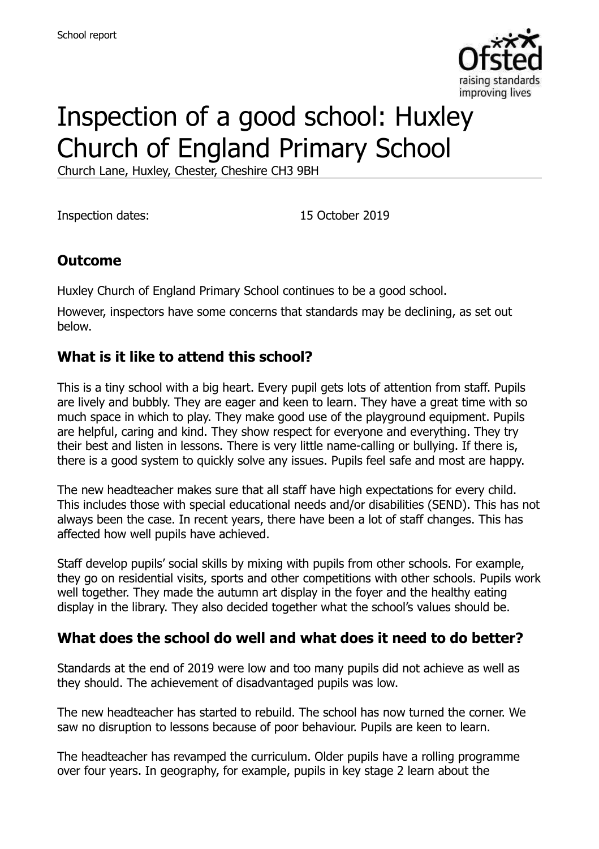

# Inspection of a good school: Huxley Church of England Primary School

Church Lane, Huxley, Chester, Cheshire CH3 9BH

Inspection dates: 15 October 2019

### **Outcome**

Huxley Church of England Primary School continues to be a good school.

However, inspectors have some concerns that standards may be declining, as set out below.

#### **What is it like to attend this school?**

This is a tiny school with a big heart. Every pupil gets lots of attention from staff. Pupils are lively and bubbly. They are eager and keen to learn. They have a great time with so much space in which to play. They make good use of the playground equipment. Pupils are helpful, caring and kind. They show respect for everyone and everything. They try their best and listen in lessons. There is very little name-calling or bullying. If there is, there is a good system to quickly solve any issues. Pupils feel safe and most are happy.

The new headteacher makes sure that all staff have high expectations for every child. This includes those with special educational needs and/or disabilities (SEND). This has not always been the case. In recent years, there have been a lot of staff changes. This has affected how well pupils have achieved.

Staff develop pupils' social skills by mixing with pupils from other schools. For example, they go on residential visits, sports and other competitions with other schools. Pupils work well together. They made the autumn art display in the foyer and the healthy eating display in the library. They also decided together what the school's values should be.

#### **What does the school do well and what does it need to do better?**

Standards at the end of 2019 were low and too many pupils did not achieve as well as they should. The achievement of disadvantaged pupils was low.

The new headteacher has started to rebuild. The school has now turned the corner. We saw no disruption to lessons because of poor behaviour. Pupils are keen to learn.

The headteacher has revamped the curriculum. Older pupils have a rolling programme over four years. In geography, for example, pupils in key stage 2 learn about the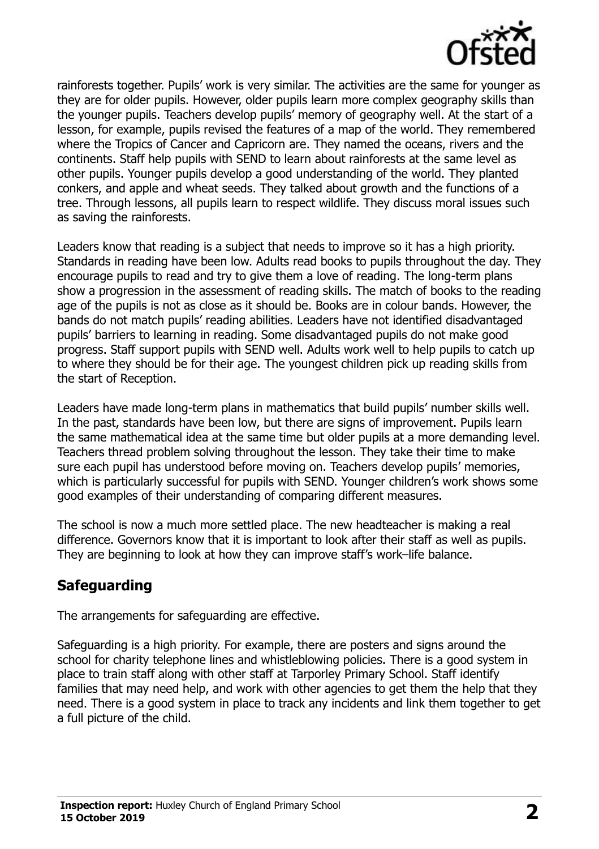

rainforests together. Pupils' work is very similar. The activities are the same for younger as they are for older pupils. However, older pupils learn more complex geography skills than the younger pupils. Teachers develop pupils' memory of geography well. At the start of a lesson, for example, pupils revised the features of a map of the world. They remembered where the Tropics of Cancer and Capricorn are. They named the oceans, rivers and the continents. Staff help pupils with SEND to learn about rainforests at the same level as other pupils. Younger pupils develop a good understanding of the world. They planted conkers, and apple and wheat seeds. They talked about growth and the functions of a tree. Through lessons, all pupils learn to respect wildlife. They discuss moral issues such as saving the rainforests.

Leaders know that reading is a subject that needs to improve so it has a high priority. Standards in reading have been low. Adults read books to pupils throughout the day. They encourage pupils to read and try to give them a love of reading. The long-term plans show a progression in the assessment of reading skills. The match of books to the reading age of the pupils is not as close as it should be. Books are in colour bands. However, the bands do not match pupils' reading abilities. Leaders have not identified disadvantaged pupils' barriers to learning in reading. Some disadvantaged pupils do not make good progress. Staff support pupils with SEND well. Adults work well to help pupils to catch up to where they should be for their age. The youngest children pick up reading skills from the start of Reception.

Leaders have made long-term plans in mathematics that build pupils' number skills well. In the past, standards have been low, but there are signs of improvement. Pupils learn the same mathematical idea at the same time but older pupils at a more demanding level. Teachers thread problem solving throughout the lesson. They take their time to make sure each pupil has understood before moving on. Teachers develop pupils' memories, which is particularly successful for pupils with SEND. Younger children's work shows some good examples of their understanding of comparing different measures.

The school is now a much more settled place. The new headteacher is making a real difference. Governors know that it is important to look after their staff as well as pupils. They are beginning to look at how they can improve staff's work–life balance.

## **Safeguarding**

The arrangements for safeguarding are effective.

Safeguarding is a high priority. For example, there are posters and signs around the school for charity telephone lines and whistleblowing policies. There is a good system in place to train staff along with other staff at Tarporley Primary School. Staff identify families that may need help, and work with other agencies to get them the help that they need. There is a good system in place to track any incidents and link them together to get a full picture of the child.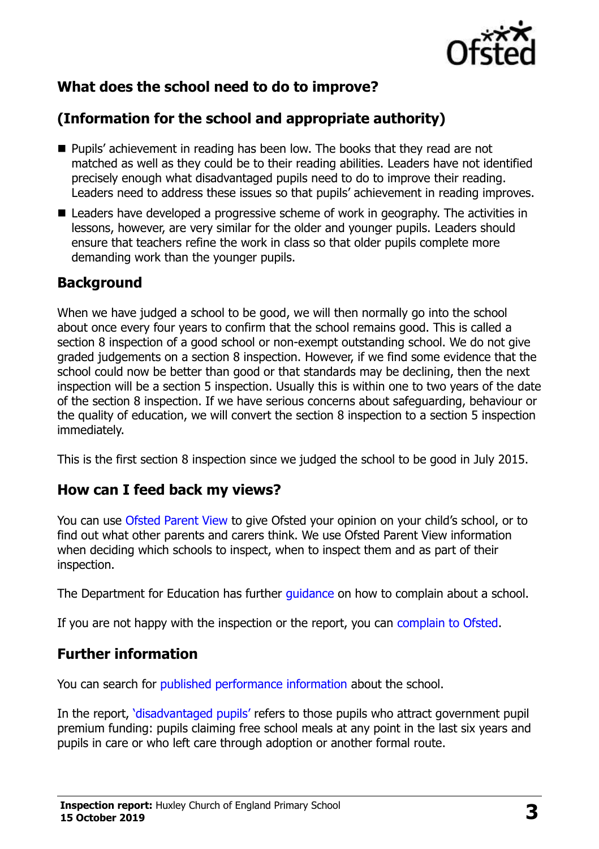

## **What does the school need to do to improve?**

## **(Information for the school and appropriate authority)**

- Pupils' achievement in reading has been low. The books that they read are not matched as well as they could be to their reading abilities. Leaders have not identified precisely enough what disadvantaged pupils need to do to improve their reading. Leaders need to address these issues so that pupils' achievement in reading improves.
- Leaders have developed a progressive scheme of work in geography. The activities in lessons, however, are very similar for the older and younger pupils. Leaders should ensure that teachers refine the work in class so that older pupils complete more demanding work than the younger pupils.

#### **Background**

When we have judged a school to be good, we will then normally go into the school about once every four years to confirm that the school remains good. This is called a section 8 inspection of a good school or non-exempt outstanding school. We do not give graded judgements on a section 8 inspection. However, if we find some evidence that the school could now be better than good or that standards may be declining, then the next inspection will be a section 5 inspection. Usually this is within one to two years of the date of the section 8 inspection. If we have serious concerns about safeguarding, behaviour or the quality of education, we will convert the section 8 inspection to a section 5 inspection immediately.

This is the first section 8 inspection since we judged the school to be good in July 2015.

#### **How can I feed back my views?**

You can use [Ofsted Parent View](https://parentview.ofsted.gov.uk/) to give Ofsted your opinion on your child's school, or to find out what other parents and carers think. We use Ofsted Parent View information when deciding which schools to inspect, when to inspect them and as part of their inspection.

The Department for Education has further quidance on how to complain about a school.

If you are not happy with the inspection or the report, you can [complain to Ofsted.](https://www.gov.uk/complain-ofsted-report)

#### **Further information**

You can search for [published performance information](http://www.compare-school-performance.service.gov.uk/) about the school.

In the report, '[disadvantaged pupils](http://www.gov.uk/guidance/pupil-premium-information-for-schools-and-alternative-provision-settings)' refers to those pupils who attract government pupil premium funding: pupils claiming free school meals at any point in the last six years and pupils in care or who left care through adoption or another formal route.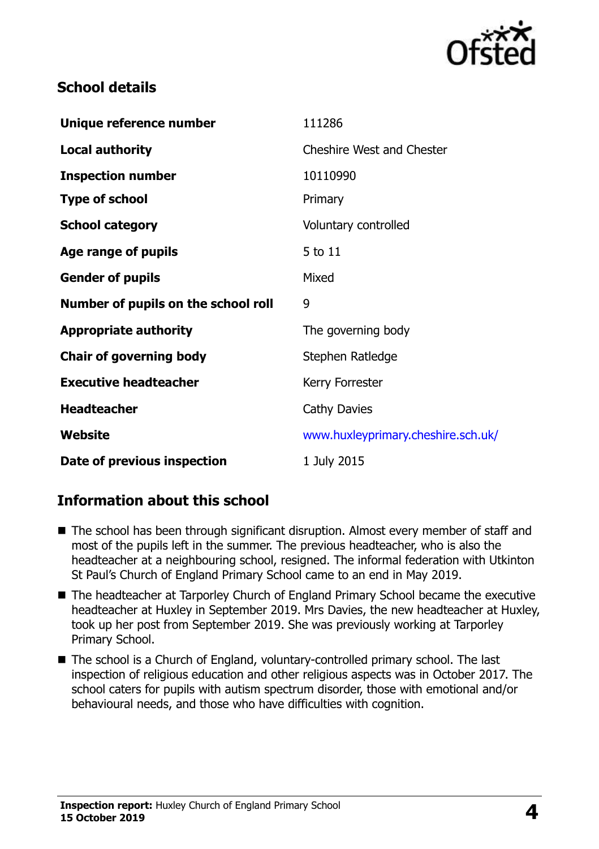

### **School details**

| Unique reference number             | 111286                             |
|-------------------------------------|------------------------------------|
| <b>Local authority</b>              | <b>Cheshire West and Chester</b>   |
| <b>Inspection number</b>            | 10110990                           |
| <b>Type of school</b>               | Primary                            |
| <b>School category</b>              | Voluntary controlled               |
| Age range of pupils                 | 5 to 11                            |
| <b>Gender of pupils</b>             | Mixed                              |
| Number of pupils on the school roll | 9                                  |
| <b>Appropriate authority</b>        | The governing body                 |
|                                     |                                    |
| <b>Chair of governing body</b>      | Stephen Ratledge                   |
| <b>Executive headteacher</b>        | Kerry Forrester                    |
| <b>Headteacher</b>                  | Cathy Davies                       |
| <b>Website</b>                      | www.huxleyprimary.cheshire.sch.uk/ |

## **Information about this school**

- The school has been through significant disruption. Almost every member of staff and most of the pupils left in the summer. The previous headteacher, who is also the headteacher at a neighbouring school, resigned. The informal federation with Utkinton St Paul's Church of England Primary School came to an end in May 2019.
- The headteacher at Tarporley Church of England Primary School became the executive headteacher at Huxley in September 2019. Mrs Davies, the new headteacher at Huxley, took up her post from September 2019. She was previously working at Tarporley Primary School.
- The school is a Church of England, voluntary-controlled primary school. The last inspection of religious education and other religious aspects was in October 2017. The school caters for pupils with autism spectrum disorder, those with emotional and/or behavioural needs, and those who have difficulties with cognition.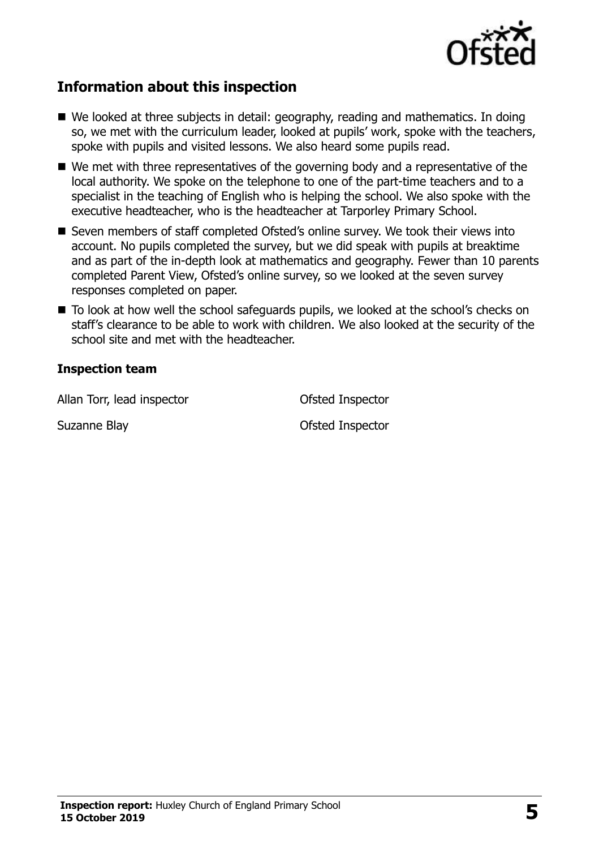

## **Information about this inspection**

- We looked at three subjects in detail: geography, reading and mathematics. In doing so, we met with the curriculum leader, looked at pupils' work, spoke with the teachers, spoke with pupils and visited lessons. We also heard some pupils read.
- We met with three representatives of the governing body and a representative of the local authority. We spoke on the telephone to one of the part-time teachers and to a specialist in the teaching of English who is helping the school. We also spoke with the executive headteacher, who is the headteacher at Tarporley Primary School.
- Seven members of staff completed Ofsted's online survey. We took their views into account. No pupils completed the survey, but we did speak with pupils at breaktime and as part of the in-depth look at mathematics and geography. Fewer than 10 parents completed Parent View, Ofsted's online survey, so we looked at the seven survey responses completed on paper.
- To look at how well the school safeguards pupils, we looked at the school's checks on staff's clearance to be able to work with children. We also looked at the security of the school site and met with the headteacher.

#### **Inspection team**

Allan Torr, lead inspector **Contact Contact Contact Contact Contact Contact Contact Contact Contact Contact Contact Contact Contact Contact Contact Contact Contact Contact Contact Contact Contact Contact Contact Contact Co** 

Suzanne Blay **Suzanne Blay Ofsted Inspector**